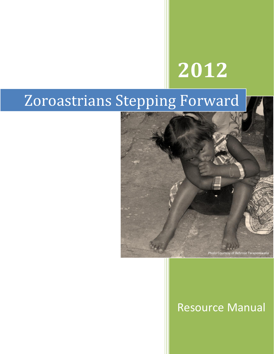# **2012**

## Zoroastrians Stepping Forward



## Resource Manual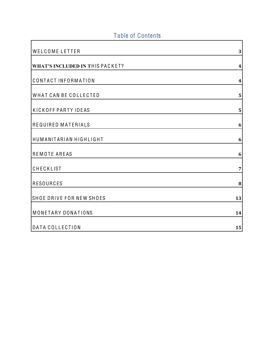## Table of Contents

| WELCOME LETTER                         | 3                       |
|----------------------------------------|-------------------------|
| <b>WHAT'S INCLUDED IN THIS PACKET?</b> | $\overline{\mathbf{4}}$ |
| CONTACT INFORMATION                    | $\overline{\mathbf{4}}$ |
| WHAT CAN BE COLLECTED                  | 5                       |
| KICKOFF PARTY IDEAS                    | 5                       |
| REQUIRED MATERIALS                     | 6                       |
| HUMANITARIAN HIGHLIGHT                 | 6                       |
| REMOTE AREAS                           | 6                       |
| CHECKLIST                              | $\overline{7}$          |
| <b>RESOURCES</b>                       | 8                       |
| SHOE DRIVE FOR NEW SHOES               | 13                      |
| MONETARY DONATIONS                     | 14                      |
| DATA COLLECTION                        | 15                      |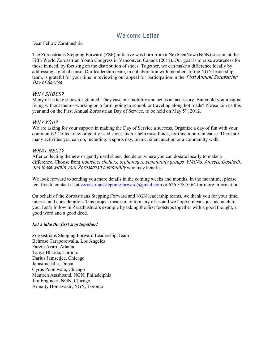#### <span id="page-2-0"></span>Welcome Letter

Dear Fellow Zarathushtis,

The Zoroastrians Stepping Forward (ZSF) initiative was born from a NextGenNow (NGN) session at the Fifth World Zoroastrian Youth Congress in Vancouver, Canada (2011). Our goal is to raise awareness for those in need, by focusing on the distribution of shoes. Together, we can make a difference locally by addressing a global cause. Our leadership team, in collaboration with members of the NGN leadership team, is grateful for your time in reviewing our appeal for participation in the *First Annual Zoroastrian* Day of Service.

#### WHY SHOES?

Many of us take shoes for granted. They ease our mobility and act as an accessory. But could you imagine living without them—working on a farm, going to school, or traveling along hot roads? Please join us this year and on the First Annual Zoroastrian Day of Service, to be held on May  $5<sup>th</sup>$ , 2012.

#### WHY YOU?

We are asking for your support in making the Day of Service a success. Organize a day of fun with your community! Collect new or gently used shoes and/or help raise funds, for this important cause. There are many activities you can do, including: a sports day, picnic, silent auction or a community walk.

#### WHAT NEXT?

After collecting the new or gently used shoes, decide on where you can donate locally to make a difference. Choose from *homeless shelters, orphanages, community groups, YMCAs, Amvets, Goodwill,* and those within your Zoroastrian community who may benefit.

We look forward to sending you more details in the coming weeks and months. In the meantime, please feel free to contact us at zoroastrianssteppingforward@gmail.com or 626.378.5564 for more information.

On behalf of the Zoroastrians Stepping Forward and NGN leadership teams, we thank you for your time, interest and consideration. This project means a lot to many of us and we hope it means just as much to you. Let's follow in Zarathushtra's example by taking the first footsteps together with a good thought, a good word and a good deed.

#### *Let's take the first step together!*

Zoroastrians Stepping Forward Leadership Team Behrose Taraporewalla, Los Angeles Farzin Avari, Atlanta Tanya Bharda, Toronto Darius Jamsetjee, Chicago Jerastine Jilla, Dubai Cyrus Pooniwala, Chicago Mantreh Atashband, NGN, Philadelphia Jim Engineer, NGN, Chicago Armaity Homavazir, NGN, Toronto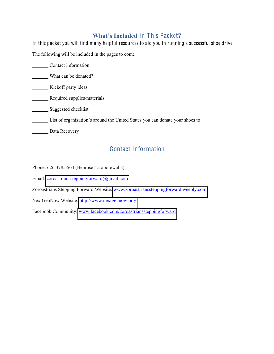#### **What's Included In This Packet?**

<span id="page-3-0"></span>In this packet you will find many helpful resources to aid you in running a successful shoe drive. The following will be included in the pages to come Contact information What can be donated? **Kickoff party ideas Required supplies/materials** Suggested checklist List of organization's around the United States you can donate your shoes to Data Recovery

## Contact Information

<span id="page-3-1"></span>Phone: 626.378.5564 (Behrose Taraporewalla)

Email: [zoroastrianssteppingforward@gmail.com](mailto:zoroastrianssteppingforward@gmail.com)

Zoroastrians Stepping Forward Website: [www.zoroastrianssteppingforward.weebly.com](http://www.zoroastrianssteppingforward.weebly.com/)

NextGenNow Website[: http://www.nextgennow.org/](http://www.nextgennow.org/)

Facebook Community: [www.facebook.com/zoroastrianssteppingforward](http://www.facebook.com/zoroastrianssteppingforward)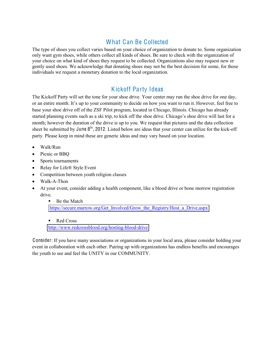### What Can Be Collected

<span id="page-4-0"></span>The type of shoes you collect varies based on your choice of organization to donate to. Some organization only want gym shoes, while others collect all kinds of shoes. Be sure to check with the organization of your choice on what kind of shoes they request to be collected. Organizations also may request new or gently used shoes. We acknowledge that donating shoes may not be the best decision for some, for those individuals we request a monetary donation to the local organization.

#### Kickoff Party Ideas

<span id="page-4-1"></span>The Kickoff Party will set the tone for your shoe drive. Your center may run the shoe drive for one day, or an entire month. It's up to your community to decide on how you want to run it. However, feel free to base your shoe drive off of the ZSF Pilot program, located in Chicago, Illinois. Chicago has already started planning events such as a ski trip, to kick off the shoe drive. Chicago's shoe drive will last for a month; however the duration of the drive is up to you. We request that pictures and the data collection sheet be submitted by June 8<sup>th</sup>, 2012. Listed below are ideas that your center can utilize for the kick-off party. Please keep in mind these are generic ideas and may vary based on your location.

- x Walk/Run
- Picnic or BBQ
- Sports tournaments
- Relay for Life® Style Event
- Competition between youth religion classes
- Walk-A-Thon
- At your event, consider adding a health component, like a blood drive or bone morrow registration drive.
	- Be the Match [https://secure.marrow.org/Get\\_Involved/Grow\\_the\\_Registry/Host\\_a\\_Drive.aspx](https://secure.marrow.org/Get_Involved/Grow_the_Registry/Host_a_Drive.aspx)
	- Red Cross <http://www.redcrossblood.org/hosting-blood-drive>

<span id="page-4-2"></span>Consider: If you have many associations or organizations in your local area, please consider holding your event in collaboration with each other. Pairing up with organizations has endless benefits and encourages the youth to see and feel the UNITY in our COMMUNITY.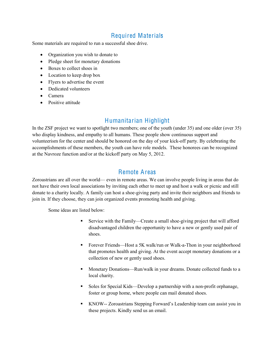#### Required Materials

Some materials are required to run a successful shoe drive.

- Organization you wish to donate to
- Pledge sheet for monetary donations
- Boxes to collect shoes in
- $\bullet$  Location to keep drop box
- Flyers to advertise the event
- Dedicated volunteers
- $\bullet$  Camera
- <span id="page-5-0"></span>• Positive attitude

#### Humanitarian Highlight

In the ZSF project we want to spotlight two members; one of the youth (under 35) and one older (over 35) who display kindness, and empathy to all humans. These people show continuous support and volunteerism for the center and should be honored on the day of your kick-off party. By celebrating the accomplishments of these members, the youth can have role models. These honorees can be recognized at the Navroze function and/or at the kickoff party on May 5, 2012.

#### Remote Areas

<span id="page-5-1"></span>Zoroastrians are all over the world— even in remote areas. We can involve people living in areas that do not have their own local associations by inviting each other to meet up and host a walk or picnic and still donate to a charity locally. A family can host a shoe-giving party and invite their neighbors and friends to join in. If they choose, they can join organized events promoting health and giving.

Some ideas are listed below:

- Service with the Family—Create a small shoe-giving project that will afford disadvantaged children the opportunity to have a new or gently used pair of shoes.
- Forever Friends—Host a 5K walk/run or Walk-a-Thon in your neighborhood that promotes health and giving. At the event accept monetary donations or a collection of new or gently used shoes.
- Monetary Donations—Run/walk in your dreams. Donate collected funds to a local charity.
- Soles for Special Kids—Develop a partnership with a non-profit orphanage, foster or group home, where people can mail donated shoes.
- KNOW-- Zoroastrians Stepping Forward's Leadership team can assist you in these projects. Kindly send us an email.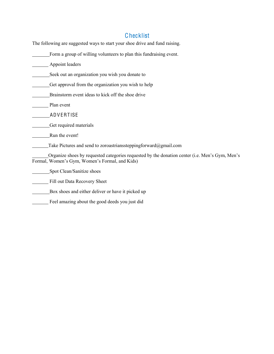#### **Checklist**

<span id="page-6-0"></span>The following are suggested ways to start your shoe drive and fund raising.

Form a group of willing volunteers to plan this fundraising event.

Appoint leaders

Seek out an organization you wish you donate to

Get approval from the organization you wish to help

Brainstorm event ideas to kick off the shoe drive

Plan event

ADV ERT ISE

Get required materials

Run the event!

Take Pictures and send to zoroastrianssteppingforward@gmail.com

Organize shoes by requested categories requested by the donation center (i.e. Men's Gym, Men's Formal, Women's Gym, Women's Formal, and Kids)

Spot Clean/Sanitize shoes

Fill out Data Recovery Sheet

Box shoes and either deliver or have it picked up

Feel amazing about the good deeds you just did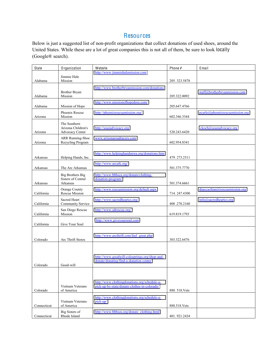#### **Resources**

<span id="page-7-0"></span>Below is just a suggested list of non-profit organizations that collect donations of used shoes, around the United States. While these are a lot of great companies this is not all of them, be sure to look locally (Google® search).

| State       | Organization                          | Website                                                                                 | Phone #      | Email                                              |
|-------------|---------------------------------------|-----------------------------------------------------------------------------------------|--------------|----------------------------------------------------|
|             | Jimmie Hale                           | http://www.jimmiehalemission.com                                                        |              |                                                    |
| Alabama     | Mission                               |                                                                                         | 205.323.5878 |                                                    |
|             |                                       | http://www.brotherbryanmission.com/donations                                            |              |                                                    |
|             | <b>Brother Bryan</b>                  |                                                                                         |              | staff@brotherbryanmission.com                      |
| Alabama     | Mission                               |                                                                                         | 205.322.0092 |                                                    |
| Alabama     | Mission of Hope                       | http://www.missionofhopedora.com/                                                       | 205.647.4766 |                                                    |
|             | Phoenix Rescue                        | http://phoenixrescuemission.org/                                                        |              | $\text{pcarlo}(\text{a})$ phoenixrescuemission.org |
| Arizona     | Mission                               |                                                                                         | 602.346.3344 |                                                    |
|             | The Southern                          |                                                                                         |              |                                                    |
|             | Arizona Children's                    | http://soazadvocacy.org                                                                 |              | ckoch@soazadvocacy.org                             |
| Arizona     | Advocacy Center                       |                                                                                         | 520.243.6420 |                                                    |
| Arizona     | ARR Running-Shoe                      | www.arizonaroadracers.com                                                               | 602.954.8341 |                                                    |
|             | Recycling Program                     |                                                                                         |              |                                                    |
|             |                                       | http://www.helpinghandsnwa.org/donations.htm                                            |              |                                                    |
| Arkansas    | Helping Hands, Inc.                   |                                                                                         | 479.273.2511 |                                                    |
|             |                                       | http://www.arcark.org/                                                                  |              |                                                    |
| Arkansas    | The Arc Arkansas                      |                                                                                         | 501.375.7770 |                                                    |
|             | <b>Big Brothers Big</b>               | http://www.bbbsca.org/donate/clothing-                                                  |              |                                                    |
| Arkansas    | Sisters of Central<br><b>Arkansas</b> | donation-program/                                                                       | 501.374.6661 |                                                    |
|             | Orange County                         | http://www.rescuemission.org/default.aspx                                               |              | dnaccachian@rescuremission.org                     |
| California  | <b>Rescue Mission</b>                 |                                                                                         | 714.247.4300 |                                                    |
|             | Sacred Heart                          | http://www.sacredheartcs.org/                                                           |              | info@sacredheartcs.org                             |
| California  | Community Service                     |                                                                                         | 408.278.2160 |                                                    |
|             | San Diego Rescue                      | http://www.sdrescue.org/                                                                |              |                                                    |
| California  | Mission                               |                                                                                         | 619.819.1793 |                                                    |
| California  | Give Your Soul                        | http://www.giveyoursoul.com                                                             |              |                                                    |
|             |                                       |                                                                                         |              |                                                    |
|             |                                       | http://www.arcthrift.com/feel great.php                                                 |              |                                                    |
| Colorado    | Arc Thrift Stores                     |                                                                                         | 303.322.6476 |                                                    |
|             |                                       |                                                                                         |              |                                                    |
|             |                                       |                                                                                         |              |                                                    |
|             |                                       | http://www.goodwill-colosprings.org/shop-and-<br>donate/donating/find-a-donation-center |              |                                                    |
| Colorado    | Good-will                             |                                                                                         |              |                                                    |
|             |                                       |                                                                                         |              |                                                    |
|             |                                       |                                                                                         |              |                                                    |
|             |                                       | http://www.clothingdonations.org/schedule-a-                                            |              |                                                    |
| Colorado    | Vietnam Veterans<br>of America        | pick-up-by-state/donate-clothes-in-colorado/                                            | 888.518.Vets |                                                    |
|             |                                       |                                                                                         |              |                                                    |
|             | Vietnam Veterans                      | http://www.clothingdonations.org/schedule-a-<br>pick-up/                                |              |                                                    |
| Connecticut | of America                            |                                                                                         | 888.518.Vets |                                                    |
|             | Big Sisters of                        | http://www.bbbsos.org/donate_clothing.html                                              |              |                                                    |
| Connecticut | Rhode Island                          |                                                                                         | 401.921.2434 |                                                    |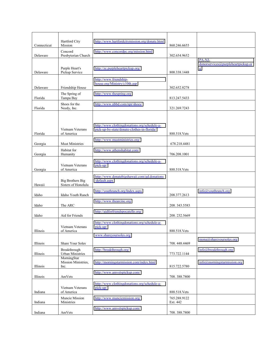| Connecticut | <b>Hartford City</b><br>Mission                | http://www.hartfordcitymission.org/donate.html           | 860.246.6655             |                                    |
|-------------|------------------------------------------------|----------------------------------------------------------|--------------------------|------------------------------------|
|             | Concord                                        | http://www.concordpc.org/mission.html                    |                          |                                    |
| Delaware    | Presbyterian Church                            |                                                          | 302.654.9652             | PA-NJ-                             |
|             |                                                |                                                          |                          | donorservices@purpleheartpickup.or |
| Delaware    | Purple Heart's<br>Pickup Service               | http://zc.purpleheartpickup.org/                         | 800.338.1448             | $\mathbf{g}$                       |
|             |                                                | http://www.friendship-                                   |                          |                                    |
| Delaware    |                                                | house.org/Ministry/c10th.asp                             |                          |                                    |
|             | Friendship House<br>The Spring of              | http://www.thespring.org                                 | 302.652.8278             |                                    |
| Florida     | Tampa Bay                                      |                                                          | 813.247.5433             |                                    |
|             | Shoes for the                                  | http://www.nbbd.com/npr/shoes/                           |                          |                                    |
| Florida     | Needy, Inc.                                    |                                                          | 321.269.7243             |                                    |
|             |                                                |                                                          |                          |                                    |
|             |                                                | http://www.clothingdonations.org/schedule-a-             |                          |                                    |
|             | Vietnam Veterans                               | pick-up-by-state/donate-clothes-in-florida/              |                          |                                    |
| Florida     | of America                                     | http://www.mustministries.org/                           | 888.518.Vets             |                                    |
| Georgia     | <b>Must Ministries</b>                         |                                                          | 678.218.4481             |                                    |
|             | Habitat for                                    | http://www.athenshabitat.com/                            |                          |                                    |
| Georgia     | Humanity                                       |                                                          | 706.208.1001             |                                    |
|             | Vietnam Veterans                               | http://www.clothingdonations.org/schedule-a-<br>pick-up/ |                          |                                    |
| Georgia     | of America                                     |                                                          | 888.518.Vets             |                                    |
|             |                                                | http://www.donatebigshawaii.com/gd.donations             |                          |                                    |
| Hawaii      | <b>Big Brothers Big</b><br>Sisters of Honolulu | /default.aspx                                            |                          |                                    |
|             |                                                | http://youthranch.org/Index.aspx                         |                          | $info@$ youthranch.org             |
| Idaho       | Idaho Youth Ranch                              |                                                          | 208.377.2613             |                                    |
|             |                                                | http://www.thearcinc.org                                 |                          |                                    |
| Idaho       | The ARC                                        | http://aidforfriendspocatello.org/                       | 208.343.5583             |                                    |
| Idaho       | Aid for Friends                                |                                                          | 208.232.5669             |                                    |
|             |                                                | http://www.clothingdonations.org/schedule-a-             |                          |                                    |
| Illinois    | Vietnam Veterans<br>of America                 | pick-up/                                                 | 888.518. Vets            |                                    |
|             |                                                | www.shareyoursoles.org                                   |                          |                                    |
| Illinois    | Share Your Soles                               |                                                          | 708.448.4469             | mona@shareyoursoles.org            |
|             | Breakthrough                                   | http://breakthrough.org/                                 |                          | $info(a)$ breakthrough.org         |
| Illinois    | <b>Urban Ministries</b>                        |                                                          | 773.722.1144             |                                    |
|             | MorningStar<br>Mission Ministries,             | http://morningstarmission.com/index.html                 |                          | info@morningstarmission.org        |
| Illinois    | Inc.                                           |                                                          | 815.722.5780             |                                    |
| Illinois    | AmVets                                         | http://www.amvetspickup.com/                             | 708.388.7800             |                                    |
|             |                                                | http://www.clothingdonations.org/schedule-a-             |                          |                                    |
|             | Vietnam Veterans                               | pick-up/                                                 |                          |                                    |
| Indiana     | of America                                     |                                                          | 888.518.Vets             |                                    |
| Indiana     | Muncie Mission<br>Ministries                   | http://www.munciemission.org/                            | 765.288.9122<br>Ext. 442 |                                    |
|             |                                                | http://www.amvetspickup.com/                             |                          |                                    |
| Indiana     | AmVets                                         |                                                          | 708.388.7800             |                                    |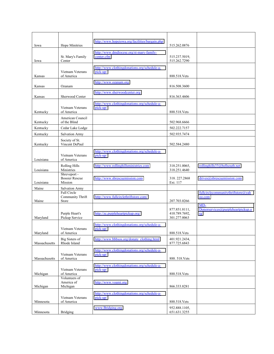| Iowa          | Hope Minitries                                   | http://www.hopeiowa.org/facilities/bargain.php           | 515.262.0876                                   |                                                |
|---------------|--------------------------------------------------|----------------------------------------------------------|------------------------------------------------|------------------------------------------------|
| Iowa          | St. Mary's Family<br>Center                      | http://www.dmdiocese.org/st-mary-family-<br>center.cfm   | 515.237.5019,<br>515.262.7290                  |                                                |
| Kansas        | Vietnam Veterans<br>of America                   | http://www.clothingdonations.org/schedule-a-<br>pick-up/ | 888.518.Vets                                   |                                                |
| Kansas        | Ozanam                                           | http://www.ozanam.org                                    | 816.508.3600                                   |                                                |
| Kansas        | Sherwood Center                                  | http://www.sherwoodcenter.org                            | 816.363.4606                                   |                                                |
| Kentucky      | Vietnam Veterans<br>of America                   | http://www.clothingdonations.org/schedule-a-<br>pick-up/ | 888.518.Vets                                   |                                                |
| Kentucky      | American Council<br>of the Blind                 |                                                          | 502.968.6666                                   |                                                |
| Kentucky      | Cedar Lake Lodge                                 |                                                          | 502.222.7157                                   |                                                |
| Kentucky      | <b>Salvation Army</b>                            |                                                          | 502.935.7474                                   |                                                |
| Kentucky      | Society of St.<br>Vincent DePaul                 |                                                          | 502.584.2480                                   |                                                |
| Louisiana     | Vietnam Veterans<br>of America                   | http://www.clothingdonations.org/schedule-a-<br>pick-up/ |                                                |                                                |
| Louisiana     | <b>Rolling Hills</b><br>Ministries               | http://www.rollinghillsministries.com                    | 318.251.0065,<br>318.251.4640                  | rollinghills33@bellsouth.net                   |
| Louisiana     | Shreveport -<br><b>Bossier Rescue</b><br>Mission | http://www.sbrescuemission.com                           | 318.227.2868<br>Ext. 117                       | drives@sbrescuemission.com                     |
| Maine         | <b>Salvation Army</b>                            |                                                          |                                                |                                                |
| Maine         | <b>Full Circle</b><br>Community Thrift<br>Store  | http://www.fullcirclethriftstore.com/                    | 207.703.0266                                   | fullcirclecommunitythriftstore@yah<br>oo.com   |
| Maryland      | Purple Heart's<br>Pickup Service                 | http://zc.purpleheartpickup.org/                         | 877.851.8111,<br>410.789.7692,<br>301.277.0063 | MD-<br>Donorservices@purpleheartpickup.o<br>rg |
| Maryland      | Vietnam Veterans<br>of America                   | http://www.clothingdonations.org/schedule-a-<br>pick-up/ | 888.518.Vets                                   |                                                |
| Massachusetts | Big Sisters of<br>Rhode Island                   | http://www.bbbsos.org/donate_clothing.html               | 401.921.2434,<br>877.725.6843                  |                                                |
| Massachusetts | Vietnam Veterans<br>of America                   | http://www.clothingdonations.org/schedule-a-<br>pick-up/ | 888.518.Vets                                   |                                                |
| Michigan      | Vietnam Veterans<br>of America                   | http://www.clothingdonations.org/schedule-a-<br>pick-up/ | 888.518.Vets                                   |                                                |
| Michigan      | Volunteers of<br>America of<br>Michigan          | http://www.voami.org                                     | 866.333.8281                                   |                                                |
|               | Vietnam Veterans                                 | http://www.clothingdonations.org/schedule-a-<br>pick-up/ |                                                |                                                |
| Minnesota     | of America                                       |                                                          | 888.518.Vets                                   |                                                |
| Minnesota     | <b>Bridging</b>                                  | www.Bridging.org                                         | 952.888.1105,<br>651.631.3255                  |                                                |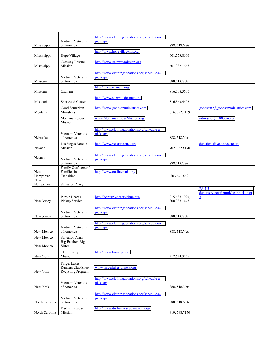|                  | Vietnam Veterans                                       | http://www.clothingdonations.org/schedule-a-<br>pick-up/ |                               |                                                   |
|------------------|--------------------------------------------------------|----------------------------------------------------------|-------------------------------|---------------------------------------------------|
| Mississippi      | of America                                             |                                                          | 888.518.Vets                  |                                                   |
| Mississippi      | Hope Village                                           | http://www.hopevillagems.org                             | 601.553.8660                  |                                                   |
| Mississippi      | Gateway Rescue<br>Mission                              | http://www.gatewaymission.org                            | 601.932.1668                  |                                                   |
| Missouri         | Vietnam Veterans                                       | http://www.clothingdonations.org/schedule-a-<br>pick-up/ |                               |                                                   |
|                  | of America                                             |                                                          | 888.518.Vets                  |                                                   |
| Missouri         | Ozanam                                                 | http://www.ozanam.org                                    | 816.508.3600                  |                                                   |
| Missouri         | Sherwood Center                                        | http://www.sherwoodcenter.org                            | 816.363.4606                  |                                                   |
| Montana          | Good Samaritan<br>Ministries                           | http://www.goodsamministries.com                         | 616.392.7159                  | goodsam2@goodsamministries.com                    |
|                  | Montana Rescue<br>Mission                              | www.MontanaRescueMission.org                             |                               | mtmission@180com.net                              |
| Nebraska         | Vietnam Veterans<br>of America                         | http://www.clothingdonations.org/schedule-a-<br>pick-up/ | 888.518.Vets                  |                                                   |
| Nevada           | Las Vegas Rescue<br>Mission                            | http://www.vegasrescue.org/                              | 702.932.8170                  | $donations@veg$ gasrescue.org                     |
| Nevada           | Vietnam Veterans<br>of America                         | http://www.clothingdonations.org/schedule-a-<br>pick-up/ | 888.518.Vets                  |                                                   |
| New<br>Hampshire | Family Outfitters of<br>Families in<br>Transition      | http://www.outfittersnh.org/                             | 603.641.6691                  |                                                   |
| New<br>Hampshire | <b>Salvation Army</b>                                  |                                                          |                               |                                                   |
| New Jersey       | Purple Heart's<br>Pickup Service                       | http://zc.purpleheartpickup.org/                         | 215.638.1020,<br>800.338.1448 | PA-NJ-<br>donorservices@purpleheartpickup.or<br>g |
| New Jersey       | Vietnam Veterans<br>of America                         | http://www.clothingdonations.org/schedule-a-<br>pick-up/ | 888.518.Vets                  |                                                   |
| New Mexico       | Vietnam Veterans<br>of America                         | http://www.clothingdonations.org/schedule-a-<br>pick-up/ | 888 518 Vets                  |                                                   |
| New Mexico       | <b>Salvation Army</b>                                  |                                                          |                               |                                                   |
| New Mexico       | <b>Big Brother</b> , Big<br>Sister                     |                                                          |                               |                                                   |
| New York         | The Bowery<br>Mission                                  | http://www.bowery.org/                                   | 212.674.3456                  |                                                   |
| New York         | Finger Lakes<br>Runners Club Shoe<br>Recycling Program | www.fingerlakesrunners.org                               |                               |                                                   |
| New York         | Vietnam Veterans<br>of America                         | http://www.clothingdonations.org/schedule-a-<br>pick-up/ | 888.518.Vets                  |                                                   |
| North Carolina   | Vietnam Veterans<br>of America                         | http://www.clothingdonations.org/schedule-a-<br>pick-up/ | 888.518.Vets                  |                                                   |
| North Carolina   | Durham Rescue<br>Mission                               | http://www.durhamrescuemission.org/                      | 919.598.7170                  |                                                   |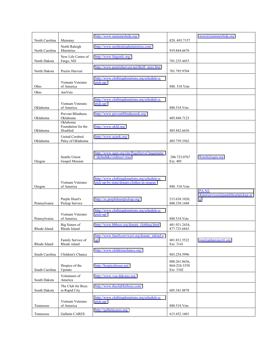| North Carolina | Mainstay                                    | http://www.mainstayhelp.org/                                                               | 828.693.7157                               | store@mainstayhelp.org                  |
|----------------|---------------------------------------------|--------------------------------------------------------------------------------------------|--------------------------------------------|-----------------------------------------|
| North Carolina | North Raleigh<br>Ministries                 | http://www.northraleighministries.com/                                                     | 919.844.6676                               |                                         |
| North Dakota   | New Life Center of<br>Fargo, ND             | http://www.fargonlc.org/                                                                   | 701.235.4453                               |                                         |
| North Dakota   | Prairie Harvest                             | http://www.prairieharvest.net/thrift store.htm                                             | 701.795.9704                               |                                         |
| Ohio           | Vietnam Veterans<br>of America              | http://www.clothingdonations.org/schedule-a-<br>pick-up/                                   | 888.518.Vets                               |                                         |
| Ohio           | AmVets                                      |                                                                                            |                                            |                                         |
|                | Vietnam Veterans                            | http://www.clothingdonations.org/schedule-a-<br>pick-up/                                   |                                            |                                         |
| Oklahoma       | of America<br><b>Prevent Blindness</b>      | http://www.preventblindnessok.org/                                                         | 888.518.Vets                               |                                         |
| Oklahoma       | Oklahoma<br>Oklahoma                        |                                                                                            | 405.848.7123                               |                                         |
| Oklahoma       | Foundation for the<br>Disabled              | http://www.okfd.org/                                                                       | 405.842.6636                               |                                         |
| Oklahoma       | <b>United Cerebral</b><br>Palsy of Oklahoma | http://www.ucpok.org/                                                                      | 405.759.3562                               |                                         |
| Oregon         | Seattle Union<br>Gospel Mission             | http://www.ugm.org/site/PageServer?pagename<br>=default&cvridirect=true                    | 206.723.0767<br>Ext. 405                   | llymch@ugm.org                          |
| Oregon         | Vietnam Veterans<br>of America              | http://www.clothingdonations.org/schedule-a-<br>pick-up-by-state/donate-clothes-in-oregon/ | 888.518.Vets                               | PA-NJ-                                  |
| Pennsylvania   | Purple Heart's<br>Pickup Service            | http://zc.purpleheartpickup.org/                                                           | 215.638.1020,<br>800.338.1448              | donorservices@purpleheartpickup.or<br>g |
| Pennsylvania   | Vietnam Veterans<br>of America              | http://www.clothingdonations.org/schedule-a-<br>pick-up/                                   | 888.518.Vets                               |                                         |
| Rhode Island   | Big Sisters of<br>Rhode Island              | http://www.bbbsos.org/donate_clothing.html                                                 | 401.921.2434,<br>877.725.6843              |                                         |
| Rhode Island   | Family Service of<br>Rhode island           | http://www.familyserviceri.org/donate_inkind.a<br>SD                                       | 401.831.5522<br>Ext. 3141                  | $ron(\vec{\omega})$ aidsprojectri.org   |
| South Carolina | Children's Chance                           | http://www.childrenschance.org/                                                            | 803.254.5996                               |                                         |
| South Carolina | Hospice of the<br>Upstate                   | http://hospicehouse.net/                                                                   | 800.261.8636,<br>864-224-3358<br>Ext. 3102 |                                         |
| South Dakota   | Volunteers of<br>America                    | http://www.voa-dakotas.org/                                                                |                                            |                                         |
| South Dakota   | The Club for Boys<br>in Rapid City          | http://www.theclubforboys.com/                                                             | 605.341.8878                               |                                         |
| Tennessee      | Vietnam Veterans<br>of America              | http://www.clothingdonations.org/schedule-a-<br>pick-up/                                   | 888.518.Vets                               |                                         |
| Tennessee      | Gallatin CARES                              | http://gallatincares.org/                                                                  | 615.452.1601                               |                                         |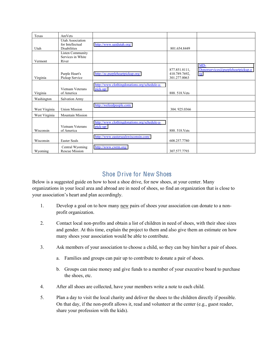| Texas         | AmVets                                                             |                                                          |                                                |                                                  |
|---------------|--------------------------------------------------------------------|----------------------------------------------------------|------------------------------------------------|--------------------------------------------------|
| Utah          | <b>Utah Association</b><br>for Intellectual<br><b>Disabilities</b> | http://www.uaidutah.org/                                 | 801.654.8449                                   |                                                  |
| Vermont       | <b>Listen Community</b><br>Services in White<br>River              |                                                          |                                                |                                                  |
| Virginia      | Purple Heart's<br>Pickup Service                                   | http://zc.purpleheartpickup.org/                         | 877.851.8111,<br>410.789.7692,<br>301.277.0063 | $MD-$<br>Donorservices@purpleheartpickup.o<br>rg |
| Virginia      | Vietnam Veterans<br>of America                                     | http://www.clothingdonations.org/schedule-a-<br>pick-up/ | 888.518.Vets                                   |                                                  |
| Washington    | <b>Salvation Army</b>                                              |                                                          |                                                |                                                  |
| West Virginia | <b>Union Mission</b>                                               | http://wefeedpeople.com/                                 | 304.925.0366                                   |                                                  |
| West Virginia | <b>Mountain Mission</b>                                            |                                                          |                                                |                                                  |
| Wisconsin     | Vietnam Veterans<br>of America                                     | http://www.clothingdonations.org/schedule-a-<br>pick-up/ | 888, 518. Vets                                 |                                                  |
| Wisconsin     | <b>Easter Seals</b>                                                | http://www.eastersealswisconsin.com/                     | 608.257.7780                                   |                                                  |
| Wyoming       | Central Wyoming<br><b>Rescue Mission</b>                           | http://www.cwrm.org/                                     | 307.577.7793                                   |                                                  |

### Shoe Drive for New Shoes

<span id="page-12-0"></span>Below is a suggested guide on how to host a shoe drive, for new shoes, at your center. Many organizations in your local area and abroad are in need of shoes, so find an organization that is close to your association's heart and plan accordingly.

- 1. Develop a goal on to how many new pairs of shoes your association can donate to a nonprofit organization.
- 2. Contact local non-profits and obtain a list of children in need of shoes, with their shoe sizes and gender. At this time, explain the project to them and also give them an estimate on how many shoes your association would be able to contribute.
- 3. Ask members of your association to choose a child, so they can buy him/her a pair of shoes.
	- a. Families and groups can pair up to contribute to donate a pair of shoes.
	- b. Groups can raise money and give funds to a member of your executive board to purchase the shoes, etc.
- 4. After all shoes are collected, have your members write a note to each child.
- 5. Plan a day to visit the local charity and deliver the shoes to the children directly if possible. On that day, if the non-profit allows it, read and volunteer at the center (e.g., guest reader, share your profession with the kids).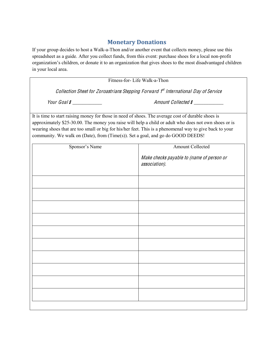#### **Monetary!Donations**

<span id="page-13-0"></span>If your group decides to host a Walk-a-Thon and/or another event that collects money, please use this spreadsheet as a guide. After you collect funds, from this event: purchase shoes for a local non-profit organization's children, or donate it to an organization that gives shoes to the most disadvantaged children in your local area.

| Fitness-for-Life Walk-a-Thon                                                                                                                                                                                                                                                                                                                                                                              |                                                            |  |  |
|-----------------------------------------------------------------------------------------------------------------------------------------------------------------------------------------------------------------------------------------------------------------------------------------------------------------------------------------------------------------------------------------------------------|------------------------------------------------------------|--|--|
| Collection Sheet for Zoroastrians Stepping Forward 1st International Day of Service                                                                                                                                                                                                                                                                                                                       |                                                            |  |  |
| Your Goal $s$ _____________                                                                                                                                                                                                                                                                                                                                                                               | Amount Collected \$                                        |  |  |
| It is time to start raising money for those in need of shoes. The average cost of durable shoes is<br>approximately \$25-30.00. The money you raise will help a child or adult who does not own shoes or is<br>wearing shoes that are too small or big for his/her feet. This is a phenomenal way to give back to your<br>community. We walk on (Date), from (Time(s)). Set a goal, and go do GOOD DEEDS! |                                                            |  |  |
| Sponsor's Name                                                                                                                                                                                                                                                                                                                                                                                            | <b>Amount Collected</b>                                    |  |  |
|                                                                                                                                                                                                                                                                                                                                                                                                           | Make checks payable to (name of person or<br>association). |  |  |
|                                                                                                                                                                                                                                                                                                                                                                                                           |                                                            |  |  |
|                                                                                                                                                                                                                                                                                                                                                                                                           |                                                            |  |  |
|                                                                                                                                                                                                                                                                                                                                                                                                           |                                                            |  |  |
|                                                                                                                                                                                                                                                                                                                                                                                                           |                                                            |  |  |
|                                                                                                                                                                                                                                                                                                                                                                                                           |                                                            |  |  |
|                                                                                                                                                                                                                                                                                                                                                                                                           |                                                            |  |  |
|                                                                                                                                                                                                                                                                                                                                                                                                           |                                                            |  |  |
|                                                                                                                                                                                                                                                                                                                                                                                                           |                                                            |  |  |
|                                                                                                                                                                                                                                                                                                                                                                                                           |                                                            |  |  |
|                                                                                                                                                                                                                                                                                                                                                                                                           |                                                            |  |  |